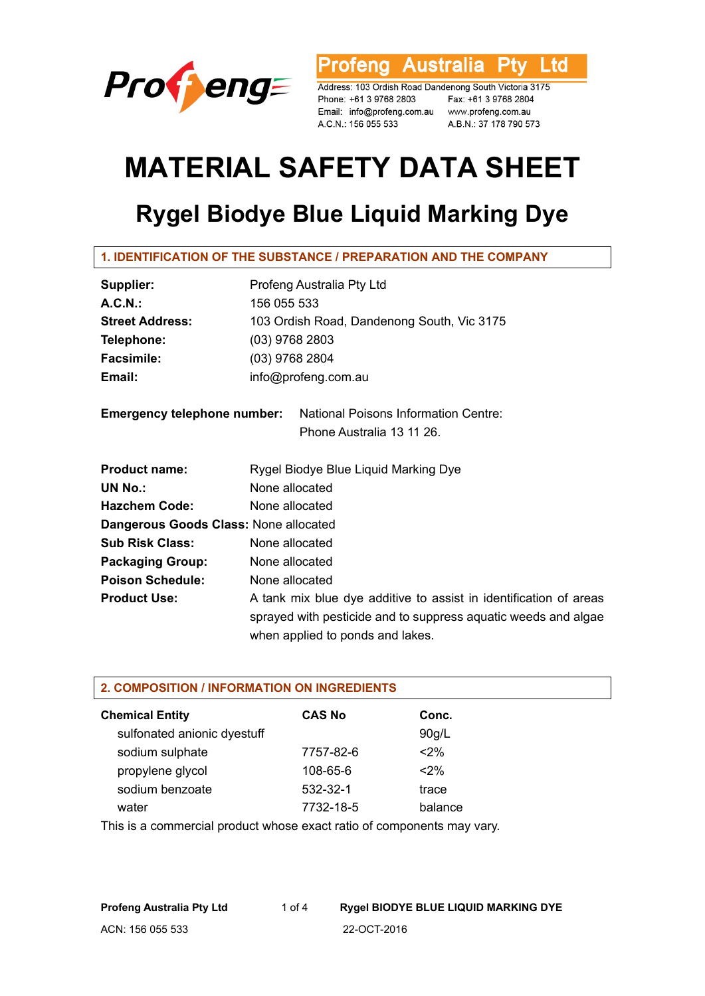

**Tofeng Australia Ptv** Ltd

Address: 103 Ordish Road Dandenong South Victoria 3175 Phone: +61 3 9768 2803<br>Enail: info@profeng.com.au www.profeng.com.au A.C.N.: 156 055 533 A.B.N.: 37 178 790 573

# **MATERIAL SAFETY DATA SHEET**

# **Rygel Biodye Blue Liquid Marking Dye**

# **1. IDENTIFICATION OF THE SUBSTANCE / PREPARATION AND THE COMPANY**

| Supplier:                             | Profeng Australia Pty Ltd                                                                                                                                               |  |  |  |  |
|---------------------------------------|-------------------------------------------------------------------------------------------------------------------------------------------------------------------------|--|--|--|--|
| A.C.N.                                | 156 055 533                                                                                                                                                             |  |  |  |  |
| <b>Street Address:</b>                | 103 Ordish Road, Dandenong South, Vic 3175                                                                                                                              |  |  |  |  |
| Telephone:                            | $(03)$ 9768 2803                                                                                                                                                        |  |  |  |  |
| <b>Facsimile:</b>                     | $(03)$ 9768 2804                                                                                                                                                        |  |  |  |  |
| Email:                                | info@profeng.com.au                                                                                                                                                     |  |  |  |  |
|                                       | <b>Emergency telephone number:</b> National Poisons Information Centre:                                                                                                 |  |  |  |  |
|                                       | Phone Australia 13 11 26.                                                                                                                                               |  |  |  |  |
| <b>Product name:</b>                  | Rygel Biodye Blue Liquid Marking Dye                                                                                                                                    |  |  |  |  |
| <b>UN No.:</b>                        | None allocated                                                                                                                                                          |  |  |  |  |
| <b>Hazchem Code:</b>                  | None allocated                                                                                                                                                          |  |  |  |  |
| Dangerous Goods Class: None allocated |                                                                                                                                                                         |  |  |  |  |
| <b>Sub Risk Class:</b>                | None allocated                                                                                                                                                          |  |  |  |  |
| <b>Packaging Group:</b>               | None allocated                                                                                                                                                          |  |  |  |  |
| <b>Poison Schedule:</b>               | None allocated                                                                                                                                                          |  |  |  |  |
| <b>Product Use:</b>                   | A tank mix blue dye additive to assist in identification of areas<br>sprayed with pesticide and to suppress aquatic weeds and algae<br>when applied to ponds and lakes. |  |  |  |  |

#### **2. COMPOSITION / INFORMATION ON INGREDIENTS**

| <b>Chemical Entity</b>      | <b>CAS No</b>  | Conc.   |
|-----------------------------|----------------|---------|
| sulfonated anionic dyestuff |                | 90g/L   |
| sodium sulphate             | 7757-82-6      | $2\%$   |
| propylene glycol            | $108 - 65 - 6$ | $2\%$   |
| sodium benzoate             | 532-32-1       | trace   |
| water                       | 7732-18-5      | balance |

This is a commercial product whose exact ratio of components may vary.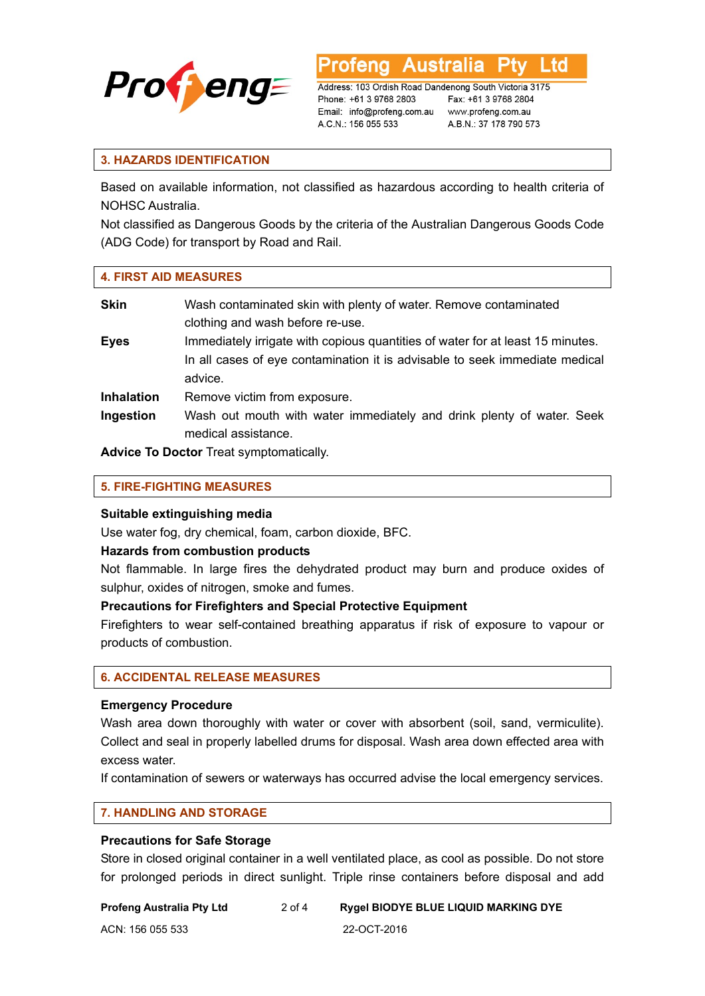

∟td

Address: 103 Ordish Road Dandenong South Victoria 3175 Phone: +61 3 9768 2803 Email: info@profeng.com.au www.profeng.com.au A.C.N.: 156 055 533

Fax: +61 3 9768 2804 A.B.N.: 37 178 790 573

# **3. HAZARDS IDENTIFICATION**

Based on available information, not classified as hazardous according to health criteria of NOHSC Australia.

Not classified as Dangerous Goods by the criteria of the Australian Dangerous Goods Code (ADG Code) for transport by Road and Rail.

#### **4. FIRST AID MEASURES**

| <b>Skin</b>       | Wash contaminated skin with plenty of water. Remove contaminated<br>clothing and wash before re-use. |
|-------------------|------------------------------------------------------------------------------------------------------|
|                   |                                                                                                      |
| <b>Eyes</b>       | Immediately irrigate with copious quantities of water for at least 15 minutes.                       |
|                   | In all cases of eye contamination it is advisable to seek immediate medical                          |
|                   | advice.                                                                                              |
| <b>Inhalation</b> | Remove victim from exposure.                                                                         |
| Ingestion         | Wash out mouth with water immediately and drink plenty of water. Seek                                |
|                   | medical assistance.                                                                                  |

**Advice To Doctor** Treat symptomatically.

#### **5. FIRE-FIGHTING MEASURES**

#### **Suitable extinguishing media**

Use water fog, dry chemical, foam, carbon dioxide, BFC.

#### **Hazards from combustion products**

Not flammable. In large fires the dehydrated product may burn and produce oxides of sulphur, oxides of nitrogen, smoke and fumes.

# **Precautions for Firefighters and Special Protective Equipment**

Firefighters to wear self-contained breathing apparatus if risk of exposure to vapour or products of combustion.

#### **6. ACCIDENTAL RELEASE MEASURES**

# **Emergency Procedure**

Wash area down thoroughly with water or cover with absorbent (soil, sand, vermiculite). Collect and seal in properly labelled drums for disposal. Wash area down effected area with excess water.

If contamination of sewers or waterways has occurred advise the local emergency services.

#### **7. HANDLING AND STORAGE**

#### **Precautions for Safe Storage**

Store in closed original container in a well ventilated place, as cool as possible. Do not store for prolonged periods in direct sunlight. Triple rinse containers before disposal and add

| Profeng Australia Pty Ltd | 2 of 4 | <b>Rygel BIODYE BLUE LIQUID MARKING DYE</b> |
|---------------------------|--------|---------------------------------------------|
| ACN: 156 055 533          |        | 22-OCT-2016                                 |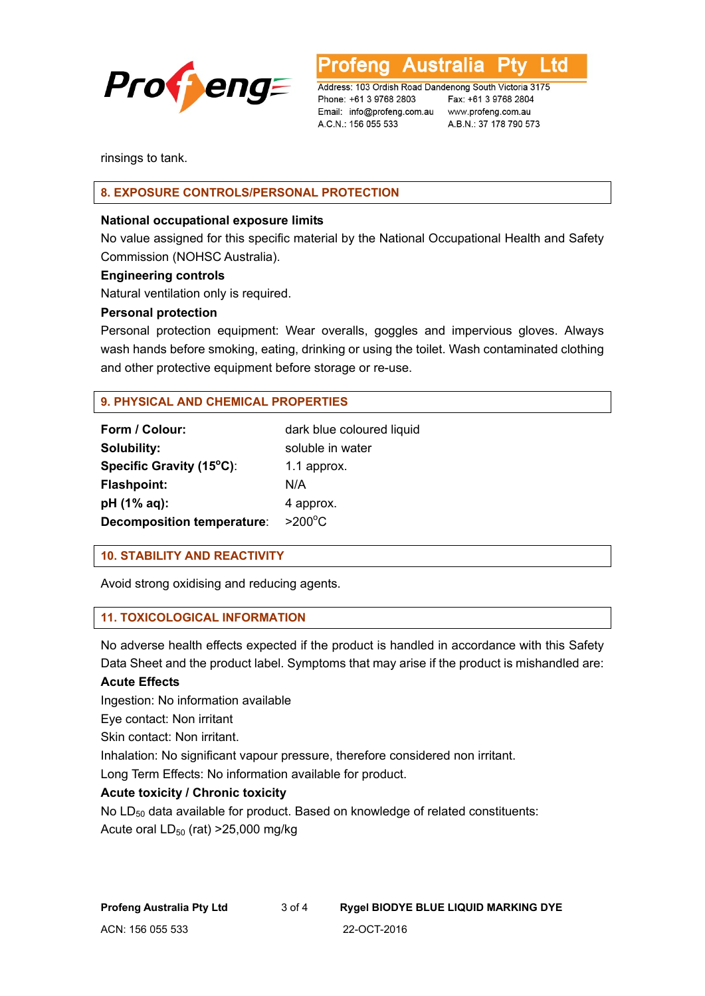

Australia ∟td

Address: 103 Ordish Road Dandenong South Victoria 3175 Phone: +61 3 9768 2803 Email: info@profeng.com.au www.profeng.com.au A.C.N.: 156 055 533

Fax: +61 3 9768 2804 A.B.N.: 37 178 790 573

rinsings to tank.

# **8. EXPOSURE CONTROLS/PERSONAL PROTECTION**

# **National occupational exposure limits**

No value assigned for this specific material by the National Occupational Health and Safety Commission (NOHSC Australia).

# **Engineering controls**

Natural ventilation only is required.

# **Personal protection**

Personal protection equipment: Wear overalls, goggles and impervious gloves. Always wash hands before smoking, eating, drinking or using the toilet. Wash contaminated clothing and other protective equipment before storage or re-use.

# **9. PHYSICAL AND CHEMICAL PROPERTIES**

| Form / Colour:                    | dark blue coloured liquid |
|-----------------------------------|---------------------------|
| Solubility:                       | soluble in water          |
| Specific Gravity (15°C):          | 1.1 approx.               |
| <b>Flashpoint:</b>                | N/A                       |
| pH (1% aq):                       | 4 approx.                 |
| <b>Decomposition temperature:</b> | $>200^{\circ}$ C          |

# **10. STABILITY AND REACTIVITY**

Avoid strong oxidising and reducing agents.

#### **11. TOXICOLOGICAL INFORMATION**

No adverse health effects expected if the product is handled in accordance with this Safety Data Sheet and the product label. Symptoms that may arise if the product is mishandled are:

# **Acute Effects**

Ingestion: No information available

Eye contact: Non irritant

Skin contact: Non irritant.

Inhalation: No significant vapour pressure, therefore considered non irritant.

Long Term Effects: No information available for product.

# **Acute toxicity / Chronic toxicity**

No  $LD_{50}$  data available for product. Based on knowledge of related constituents: Acute oral  $LD_{50}$  (rat) > 25,000 mg/kg